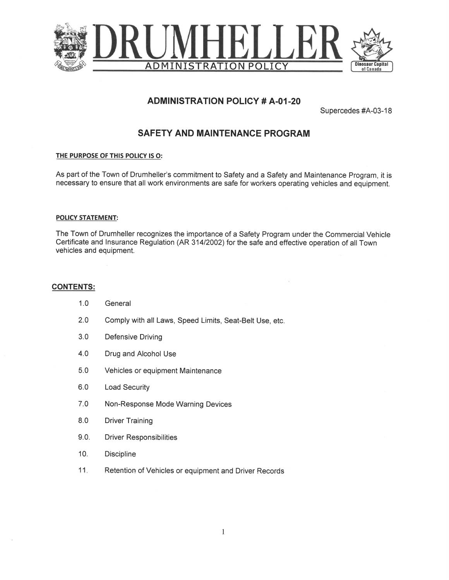

# **ADMINISTRATION POLICY # A-01-20**

Supercedes #A-03-18

# **SAFETY AND MAINTENANCE PROGRAM**

### THE PURPOSE OF THIS POLICY IS O:

As part of the Town of Drumheller's commitment to Safety and a Safety and Maintenance Program, it is necessary to ensure that all work environments are safe for workers operating vehicles and equipment.

### **POLICY STATEMENT:**

The Town of Drumheller recognizes the importance of a Safety Program under the Commercial Vehicle Certificate and Insurance Regulation (AR 314/2002) for the safe and effective operation of all Town vehicles and equipment.

### **CONTENTS:**

| 1.0  | General                                                 |
|------|---------------------------------------------------------|
| 2.0  | Comply with all Laws, Speed Limits, Seat-Belt Use, etc. |
| 3.0  | <b>Defensive Driving</b>                                |
| 4.0  | Drug and Alcohol Use                                    |
| 5.0  | Vehicles or equipment Maintenance                       |
| 6.0  | <b>Load Security</b>                                    |
| 7.0  | Non-Response Mode Warning Devices                       |
| 8.0  | <b>Driver Training</b>                                  |
| 9.0. | <b>Driver Responsibilities</b>                          |
| 10.  | <b>Discipline</b>                                       |
| 11.  | Retention of Vehicles or equipment and Driver Records   |
|      |                                                         |
|      |                                                         |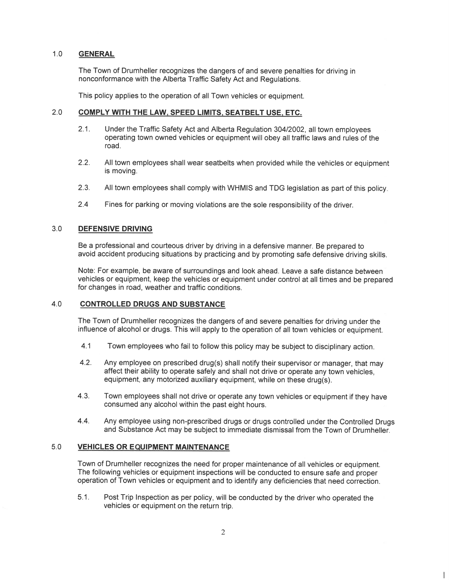#### $1.0$ **GENERAL**

The Town of Drumheller recognizes the dangers of and severe penalties for driving in nonconformance with the Alberta Traffic Safety Act and Regulations.

This policy applies to the operation of all Town vehicles or equipment.

#### $2.0$ COMPLY WITH THE LAW, SPEED LIMITS, SEATBELT USE, ETC.

- $2.1.$ Under the Traffic Safety Act and Alberta Regulation 304/2002, all town employees operating town owned vehicles or equipment will obey all traffic laws and rules of the road.
- $2.2.$ All town employees shall wear seatbelts when provided while the vehicles or equipment is moving.
- $2.3.$ All town employees shall comply with WHMIS and TDG legislation as part of this policy.
- $2.4$ Fines for parking or moving violations are the sole responsibility of the driver.

#### $3.0$ **DEFENSIVE DRIVING**

Be a professional and courteous driver by driving in a defensive manner. Be prepared to avoid accident producing situations by practicing and by promoting safe defensive driving skills.

Note: For example, be aware of surroundings and look ahead. Leave a safe distance between vehicles or equipment, keep the vehicles or equipment under control at all times and be prepared for changes in road, weather and traffic conditions.

#### $4.0$ **CONTROLLED DRUGS AND SUBSTANCE**

The Town of Drumheller recognizes the dangers of and severe penalties for driving under the influence of alcohol or drugs. This will apply to the operation of all town vehicles or equipment.

- $4.1$ Town employees who fail to follow this policy may be subject to disciplinary action.
- $4.2.$ Any employee on prescribed drug(s) shall notify their supervisor or manager, that may affect their ability to operate safely and shall not drive or operate any town vehicles, equipment, any motorized auxiliary equipment, while on these drug(s).
- $4.3.$ Town employees shall not drive or operate any town vehicles or equipment if they have consumed any alcohol within the past eight hours.
- $4.4.$ Any employee using non-prescribed drugs or drugs controlled under the Controlled Drugs and Substance Act may be subject to immediate dismissal from the Town of Drumheller.

#### $5.0$ **VEHICLES OR EQUIPMENT MAINTENANCE**

Town of Drumheller recognizes the need for proper maintenance of all vehicles or equipment. The following vehicles or equipment inspections will be conducted to ensure safe and proper operation of Town vehicles or equipment and to identify any deficiencies that need correction.

Post Trip Inspection as per policy, will be conducted by the driver who operated the  $5.1.$ vehicles or equipment on the return trip.

 $\mathsf{I}$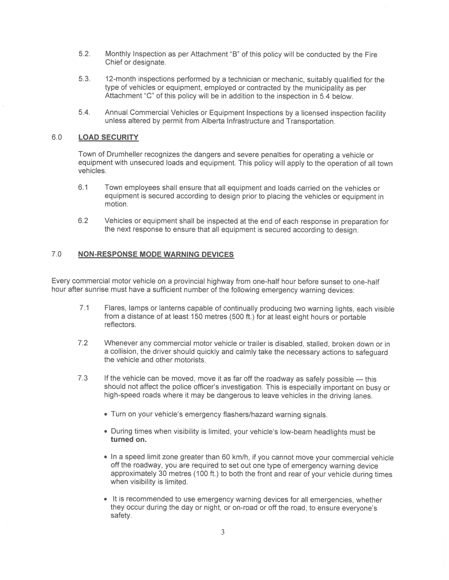- $5.2.$ Monthly Inspection as per Attachment "B" of this policy will be conducted by the Fire Chief or designate.
- 53 12-month inspections performed by a technician or mechanic, suitably qualified for the type of vehicles or equipment, employed or contracted by the municipality as per Attachment "C" of this policy will be in addition to the inspection in 5.4 below.
- $5.4.$ Annual Commercial Vehicles or Equipment Inspections by a licensed inspection facility unless altered by permit from Alberta Infrastructure and Transportation.

#### $6.0$ **LOAD SECURITY**

Town of Drumheller recognizes the dangers and severe penalties for operating a vehicle or equipment with unsecured loads and equipment. This policy will apply to the operation of all town vehicles.

- $6.1$ Town employees shall ensure that all equipment and loads carried on the vehicles or equipment is secured according to design prior to placing the vehicles or equipment in motion.
- $6.2$ Vehicles or equipment shall be inspected at the end of each response in preparation for the next response to ensure that all equipment is secured according to design.

#### $7.0$ **NON-RESPONSE MODE WARNING DEVICES**

Every commercial motor vehicle on a provincial highway from one-half hour before sunset to one-half hour after sunrise must have a sufficient number of the following emergency warning devices:

- $7.1$ Flares, lamps or lanterns capable of continually producing two warning lights, each visible from a distance of at least 150 metres (500 ft.) for at least eight hours or portable reflectors.
- $7.2$ Whenever any commercial motor vehicle or trailer is disabled, stalled, broken down or in a collision, the driver should quickly and calmly take the necessary actions to safeguard the vehicle and other motorists.
- $7.3$ If the vehicle can be moved, move it as far off the roadway as safely possible — this should not affect the police officer's investigation. This is especially important on busy or high-speed roads where it may be dangerous to leave vehicles in the driving lanes.
	- Turn on your vehicle's emergency flashers/hazard warning signals.
	- During times when visibility is limited, your vehicle's low-beam headlights must be turned on.
	- In a speed limit zone greater than 60 km/h, if you cannot move your commercial vehicle off the roadway, you are required to set out one type of emergency warning device approximately 30 metres (100 ft.) to both the front and rear of your vehicle during times when visibility is limited.
	- It is recommended to use emergency warning devices for all emergencies, whether they occur during the day or night, or on-road or off the road, to ensure everyone's safety.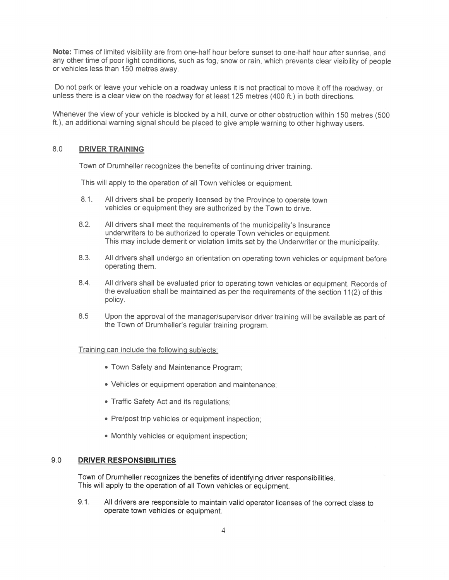Note: Times of limited visibility are from one-half hour before sunset to one-half hour after sunrise, and any other time of poor light conditions, such as fog, snow or rain, which prevents clear visibility of people or vehicles less than 150 metres away.

Do not park or leave your vehicle on a roadway unless it is not practical to move it off the roadway, or unless there is a clear view on the roadway for at least 125 metres (400 ft.) in both directions.

Whenever the view of your vehicle is blocked by a hill, curve or other obstruction within 150 metres (500 ft.), an additional warning signal should be placed to give ample warning to other highway users.

### 8.0 DRIVER TRAINING

Town of Drumheller recognizes the benefits of continuing driver training.

This will apply to the operation of all Town vehicles or equipment.

- 8.1 All drivers shall be properly licensed by the Province to operate town vehicles or equipment they are authorized by the Town to drive.
- 8.2. All drivers shall meet the requirements of the municipality's Insurance underwriters to be authorized to operate Town vehicles or equipment. This may include demerit or violation limits set by the Underwriter or the municipality.
- 8.3. All drivers shall undergo an orientation on operating town vehicles or equipment before operating them.
- 8.4. All drivers shall be evaluated prior to operating town vehicles or equipment. Records of the evaluation shall be maintained as per the requirements of the section  $11(2)$  of this policy.
- 8.5 Upon the approval of the manager/supervisor driver training will be available as part of the Town of Drumheller's regular training program.

## Training can include the following subjects:

- <sup>0</sup> Town Safety and Maintenance Program;
- Vehicles or equipment operation and maintenance;
- Traffic Safety Act and its regulations;
- Pre/post trip vehicles or equipment inspection;
- <sup>o</sup> Monthly vehicles or equipment inspection;

### 9.0 DRIVER RESPONSIBILITIES

Town of Drumheller recognizes the benefits of identifying driver responsibilities. This will apply to the operation of all Town vehicles or equipment.

9.1. Alldrivers are responsible to maintain valid operator licenses of the correct class to operate town vehicles or equipment.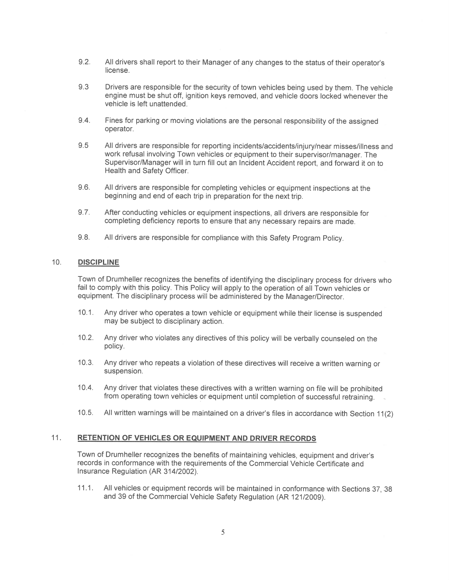- $9.2.$ All drivers shall report to their Manager of any changes to the status of their operator's license.
- 9.3 Drivers are responsible for the security of town vehicles being used by them. The vehicle engine must be shut off, ignition keys removed, and vehicle doors locked whenever the vehicle is left unattended.
- $9.4.$ Fines for parking or moving violations are the personal responsibility of the assigned operator.
- 9.5 All drivers are responsible for reporting incidents/accidents/injury/near misses/illness and work refusal involving Town vehicles or equipment to their supervisor/manager. The Supervisor/Manager will in turn fill out an Incident Accident report, and forward it on to Health and Safety Officer.
- $9.6.$ All drivers are responsible for completing vehicles or equipment inspections at the beginning and end of each trip in preparation for the next trip.
- $9.7.$ After conducting vehicles or equipment inspections, all drivers are responsible for completing deficiency reports to ensure that any necessary repairs are made.
- $9.8.$ All drivers are responsible for compliance with this Safety Program Policy.

#### $10.$ **DISCIPLINE**

Town of Drumheller recognizes the benefits of identifying the disciplinary process for drivers who fail to comply with this policy. This Policy will apply to the operation of all Town vehicles or equipment. The disciplinary process will be administered by the Manager/Director.

- Any driver who operates a town vehicle or equipment while their license is suspended  $10.1.$ may be subject to disciplinary action.
- $10.2.$ Any driver who violates any directives of this policy will be verbally counseled on the policy.
- $10.3.$ Any driver who repeats a violation of these directives will receive a written warning or suspension.
- $10.4.$ Any driver that violates these directives with a written warning on file will be prohibited from operating town vehicles or equipment until completion of successful retraining.
- $10.5.$ All written warnings will be maintained on a driver's files in accordance with Section 11(2)

#### $11<sub>1</sub>$ **RETENTION OF VEHICLES OR EQUIPMENT AND DRIVER RECORDS**

Town of Drumheller recognizes the benefits of maintaining vehicles, equipment and driver's records in conformance with the requirements of the Commercial Vehicle Certificate and Insurance Regulation (AR 314/2002).

 $11.1.$ All vehicles or equipment records will be maintained in conformance with Sections 37, 38 and 39 of the Commercial Vehicle Safety Regulation (AR 121/2009).